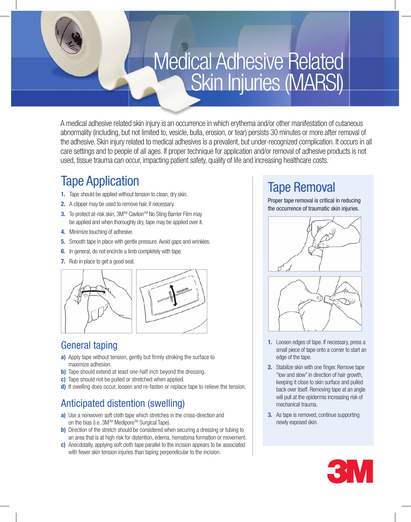# Medical Adhesive Related Skin Injuries (MARSI)

A medical adhesive related skin injury is an occurrence in which erythema and/or other manifestation of cutaneous abnormality (including, but not limited to, vesicle, bulla, erosion, or tear) persists 30 minutes or more after removal of the adhesive. Skin injury related to medical adhesives is a prevalent, but under-recognized complication. It occurs in all care settings and to people of all ages. If proper technique for application and/or removal of adhesive products is not used, tissue trauma can occur, impacting patient safety, quality of life and increasing healthcare costs.

### Tape Application

- **1.** Tape should be applied without tension to clean, dry skin.
- **2.** A clipper may be used to remove hair, if necessary.
- **3.** To protect at-risk skin, 3M™ Cavilon™ No Sting Barrier Film may be applied and when thoroughly dry, tape may be applied over it.
- **4.** Minimize touching of adhesive.
- **5.** Smooth tape in place with gentle pressure. Avoid gaps and wrinkles.
- **6.** In general, do not encircle a limb completely with tape.
- **7.** Rub in place to get a good seal.



#### General taping

- **a)** Apply tape without tension, gently but firmly stroking the surface to maximize adhesion.
- **b)** Tape should extend at least one-half inch beyond the dressing.
- **c)** Tape should not be pulled or stretched when applied.
- **d)** If swelling does occur, loosen and re-fasten or replace tape to relieve the tension.

### Anticipated distention (swelling)

- **a)** Use a nonwoven soft cloth tape which stretches in the cross-direction and on the bias (i.e. 3M™ Medipore™ Surgical Tape).
- **b)** Direction of the stretch should be considered when securing a dressing or tubing to an area that is at high risk for distention, edema, hematoma formation or movement.
- **c)** Anecdotally, applying soft cloth tape parallel to the incision appears to be associated with fewer skin tension injuries than taping perpendicular to the incision.

## Tape Removal

Proper tape removal is critical in reducing the occurrence of traumatic skin injuries.





- **1.** Loosen edges of tape. If necessary, press a small piece of tape onto a corner to start an edge of the tape.
- **2.** Stabilize skin with one finger. Remove tape "low and slow" in direction of hair growth, keeping it close to skin surface and pulled back over itself. Removing tape at an angle will pull at the epidermis increasing risk of mechanical trauma.
- **3.** As tape is removed, continue supporting newly exposed skin.